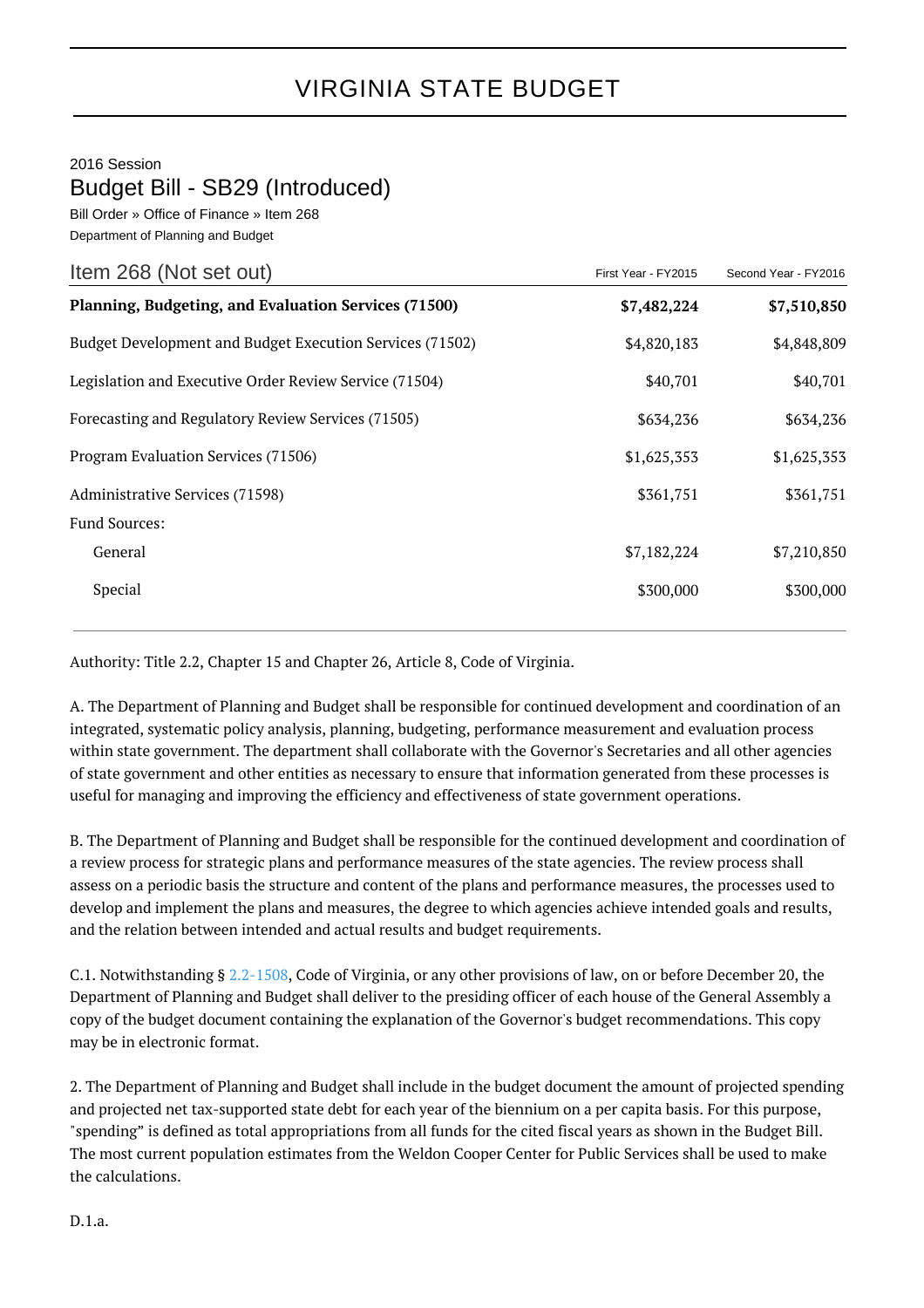## VIRGINIA STATE BUDGET

2016 Session

## Budget Bill - SB29 (Introduced)

Bill Order » Office of Finance » Item 268 Department of Planning and Budget

| Item 268 (Not set out)                                   | First Year - FY2015 | Second Year - FY2016 |
|----------------------------------------------------------|---------------------|----------------------|
| Planning, Budgeting, and Evaluation Services (71500)     | \$7,482,224         | \$7,510,850          |
| Budget Development and Budget Execution Services (71502) | \$4,820,183         | \$4,848,809          |
| Legislation and Executive Order Review Service (71504)   | \$40,701            | \$40,701             |
| Forecasting and Regulatory Review Services (71505)       | \$634,236           | \$634,236            |
| Program Evaluation Services (71506)                      | \$1,625,353         | \$1,625,353          |
| Administrative Services (71598)                          | \$361,751           | \$361,751            |
| <b>Fund Sources:</b>                                     |                     |                      |
| General                                                  | \$7,182,224         | \$7,210,850          |
| Special                                                  | \$300,000           | \$300,000            |

Authority: Title 2.2, Chapter 15 and Chapter 26, Article 8, Code of Virginia.

A. The Department of Planning and Budget shall be responsible for continued development and coordination of an integrated, systematic policy analysis, planning, budgeting, performance measurement and evaluation process within state government. The department shall collaborate with the Governor's Secretaries and all other agencies of state government and other entities as necessary to ensure that information generated from these processes is useful for managing and improving the efficiency and effectiveness of state government operations.

B. The Department of Planning and Budget shall be responsible for the continued development and coordination of a review process for strategic plans and performance measures of the state agencies. The review process shall assess on a periodic basis the structure and content of the plans and performance measures, the processes used to develop and implement the plans and measures, the degree to which agencies achieve intended goals and results, and the relation between intended and actual results and budget requirements.

C.1. Notwithstanding § [2.2-1508,](http://law.lis.virginia.gov/vacode/2.2-1508/) Code of Virginia, or any other provisions of law, on or before December 20, the Department of Planning and Budget shall deliver to the presiding officer of each house of the General Assembly a copy of the budget document containing the explanation of the Governor's budget recommendations. This copy may be in electronic format.

2. The Department of Planning and Budget shall include in the budget document the amount of projected spending and projected net tax-supported state debt for each year of the biennium on a per capita basis. For this purpose, "spending" is defined as total appropriations from all funds for the cited fiscal years as shown in the Budget Bill. The most current population estimates from the Weldon Cooper Center for Public Services shall be used to make the calculations.